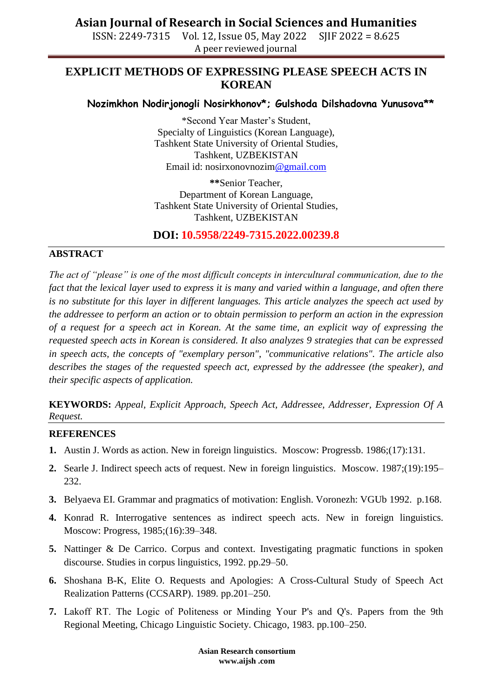# **Asian Journal of Research in Social Sciences and Humanities**

ISSN: 2249-7315 Vol. 12, Issue 05, May 2022 SJIF 2022 = 8.625 A peer reviewed journal

## **EXPLICIT METHODS OF EXPRESSING PLEASE SPEECH ACTS IN KOREAN**

## **Nozimkhon Nodirjonogli Nosirkhonov\*; Gulshoda Dilshadovna Yunusova\*\***

\*Second Year Master's Student, Specialty of Linguistics (Korean Language), Tashkent State University of Oriental Studies, Tashkent, UZBEKISTAN Email id: nosirxonovnozi[m@gmail.com](mailto:khidoyatovaaziza@gmail.com)

**\*\***Senior Teacher, Department of Korean Language, Tashkent State University of Oriental Studies, Tashkent, UZBEKISTAN

**DOI: 10.5958/2249-7315.2022.00239.8**

#### **ABSTRACT**

*The act of "please" is one of the most difficult concepts in intercultural communication, due to the fact that the lexical layer used to express it is many and varied within a language, and often there is no substitute for this layer in different languages. This article analyzes the speech act used by the addressee to perform an action or to obtain permission to perform an action in the expression of a request for a speech act in Korean. At the same time, an explicit way of expressing the requested speech acts in Korean is considered. It also analyzes 9 strategies that can be expressed in speech acts, the concepts of "exemplary person", "communicative relations". The article also describes the stages of the requested speech act, expressed by the addressee (the speaker), and their specific aspects of application.*

**KEYWORDS:** *Appeal, Explicit Approach, Speech Act, Addressee, Addresser, Expression Of A Request.*

#### **REFERENCES**

- **1.** Austin J. Words as action. New in foreign linguistics. Moscow: Progressb. 1986;(17):131.
- **2.** Searle J. Indirect speech acts of request. New in foreign linguistics. Moscow. 1987;(19):195– 232.
- **3.** Belyaeva EI. Grammar and pragmatics of motivation: English. Voronezh: VGUb 1992. p.168.
- **4.** Konrad R. Interrogative sentences as indirect speech acts. New in foreign linguistics. Moscow: Progress, 1985;(16):39–348.
- **5.** Nattinger & De Carrico. Corpus and context. Investigating pragmatic functions in spoken discourse. Studies in corpus linguistics, 1992. pp.29–50.
- **6.** Shoshana B-K, Elite O. Requests and Apologies: A Cross-Cultural Study of Speech Act Realization Patterns (CCSARP). 1989. pp.201–250.
- **7.** Lakoff RТ. The Logic of Politeness or Minding Your P's and Q's. Papers from the 9th Regional Meeting, Chicago Linguistic Society. Chicago, 1983. pp.100–250.